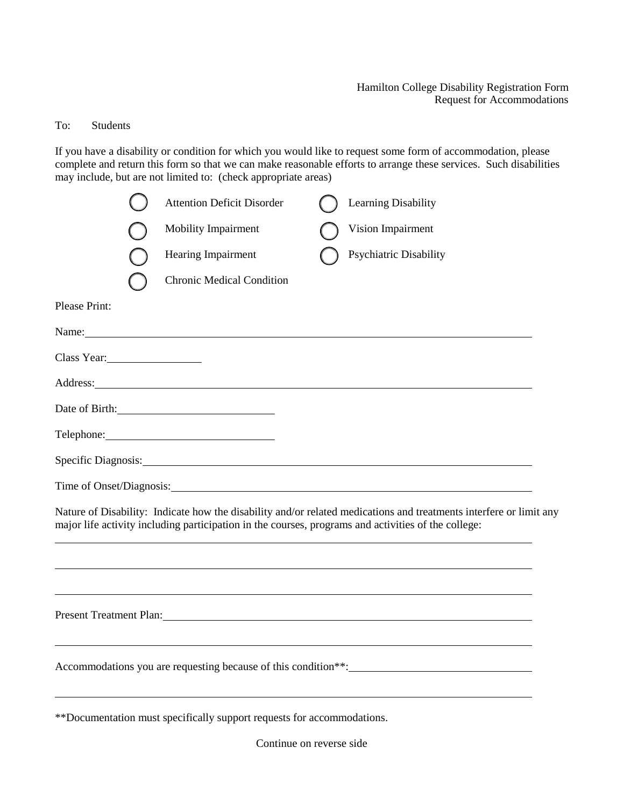## Hamilton College Disability Registration Form Request for Accommodations

## To: Students

If you have a disability or condition for which you would like to request some form of accommodation, please complete and return this form so that we can make reasonable efforts to arrange these services. Such disabilities may include, but are not limited to: (check appropriate areas)

|               | <b>Attention Deficit Disorder</b>                                                                                                                                                                                              | Learning Disability                                                                                                                                                                                                                  |
|---------------|--------------------------------------------------------------------------------------------------------------------------------------------------------------------------------------------------------------------------------|--------------------------------------------------------------------------------------------------------------------------------------------------------------------------------------------------------------------------------------|
|               | Mobility Impairment                                                                                                                                                                                                            | Vision Impairment                                                                                                                                                                                                                    |
|               | Hearing Impairment                                                                                                                                                                                                             | Psychiatric Disability                                                                                                                                                                                                               |
|               | <b>Chronic Medical Condition</b>                                                                                                                                                                                               |                                                                                                                                                                                                                                      |
| Please Print: |                                                                                                                                                                                                                                |                                                                                                                                                                                                                                      |
|               | Name: Name and the set of the set of the set of the set of the set of the set of the set of the set of the set of the set of the set of the set of the set of the set of the set of the set of the set of the set of the set o |                                                                                                                                                                                                                                      |
| Class Year:   |                                                                                                                                                                                                                                |                                                                                                                                                                                                                                      |
|               | Address: Note that the contract of the contract of the contract of the contract of the contract of the contract of the contract of the contract of the contract of the contract of the contract of the contract of the contrac |                                                                                                                                                                                                                                      |
|               | Date of Birth:                                                                                                                                                                                                                 |                                                                                                                                                                                                                                      |
|               |                                                                                                                                                                                                                                |                                                                                                                                                                                                                                      |
|               |                                                                                                                                                                                                                                | Specific Diagnosis: <u>contract and contract and contract and contract and contract and contract and contract and contract and contract and contract and contract and contract and contract and contract and contract and contra</u> |
|               |                                                                                                                                                                                                                                |                                                                                                                                                                                                                                      |
|               | major life activity including participation in the courses, programs and activities of the college:                                                                                                                            | Nature of Disability: Indicate how the disability and/or related medications and treatments interfere or limit any                                                                                                                   |
|               |                                                                                                                                                                                                                                |                                                                                                                                                                                                                                      |
|               | Present Treatment Plan:                                                                                                                                                                                                        |                                                                                                                                                                                                                                      |
|               |                                                                                                                                                                                                                                | Accommodations you are requesting because of this condition**:                                                                                                                                                                       |
|               | **Documentation must specifically support requests for accommodations.                                                                                                                                                         |                                                                                                                                                                                                                                      |

Continue on reverse side